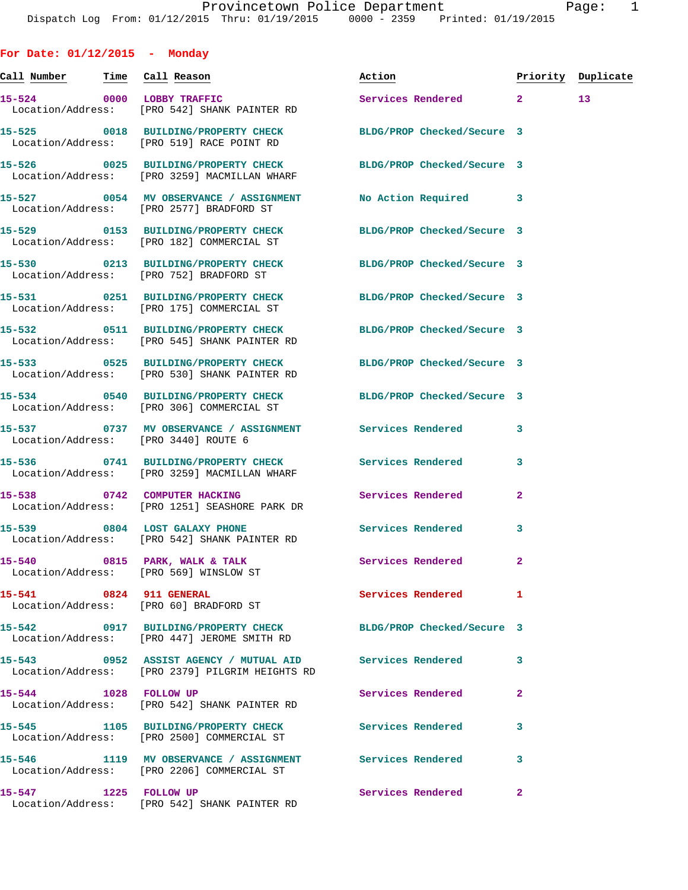**For Date: 01/12/2015 - Monday Call Number Time Call Reason Action Priority Duplicate 15-524 0000 LOBBY TRAFFIC Services Rendered 2 13**  Location/Address: [PRO 542] SHANK PAINTER RD **15-525 0018 BUILDING/PROPERTY CHECK BLDG/PROP Checked/Secure 3**  Location/Address: [PRO 519] RACE POINT RD **15-526 0025 BUILDING/PROPERTY CHECK BLDG/PROP Checked/Secure 3**  Location/Address: [PRO 3259] MACMILLAN WHARF **15-527 0054 MV OBSERVANCE / ASSIGNMENT No Action Required 3**  Location/Address: [PRO 2577] BRADFORD ST **15-529 0153 BUILDING/PROPERTY CHECK BLDG/PROP Checked/Secure 3**  Location/Address: [PRO 182] COMMERCIAL ST **15-530 0213 BUILDING/PROPERTY CHECK BLDG/PROP Checked/Secure 3**  Location/Address: [PRO 752] BRADFORD ST **15-531 0251 BUILDING/PROPERTY CHECK BLDG/PROP Checked/Secure 3**  Location/Address: [PRO 175] COMMERCIAL ST **15-532 0511 BUILDING/PROPERTY CHECK BLDG/PROP Checked/Secure 3**  Location/Address: [PRO 545] SHANK PAINTER RD **15-533 0525 BUILDING/PROPERTY CHECK BLDG/PROP Checked/Secure 3**  Location/Address: [PRO 530] SHANK PAINTER RD **15-534 0540 BUILDING/PROPERTY CHECK BLDG/PROP Checked/Secure 3**  Location/Address: [PRO 306] COMMERCIAL ST **15-537 0737 MV OBSERVANCE / ASSIGNMENT Services Rendered 3**  Location/Address: [PRO 3440] ROUTE 6 **15-536 0741 BUILDING/PROPERTY CHECK Services Rendered 3**  Location/Address: [PRO 3259] MACMILLAN WHARF **15-538 0742 COMPUTER HACKING Services Rendered 2**  Location/Address: [PRO 1251] SEASHORE PARK DR 15-539 0804 LOST GALAXY PHONE **15-539** Services Rendered 3 Location/Address: [PRO 542] SHANK PAINTER RD **15-540 0815 PARK, WALK & TALK Services Rendered 2**  Location/Address: [PRO 569] WINSLOW ST **15-541 0824 911 GENERAL Services Rendered 1**  Location/Address: [PRO 60] BRADFORD ST **15-542 0917 BUILDING/PROPERTY CHECK BLDG/PROP Checked/Secure 3**  Location/Address: [PRO 447] JEROME SMITH RD **15-543 0952 ASSIST AGENCY / MUTUAL AID Services Rendered 3**  Location/Address: [PRO 2379] PILGRIM HEIGHTS RD **15-544 1028 FOLLOW UP Services Rendered 2**  Location/Address: [PRO 542] SHANK PAINTER RD **15-545 1105 BUILDING/PROPERTY CHECK Services Rendered 3**  Location/Address: [PRO 2500] COMMERCIAL ST **15-546 1119 MV OBSERVANCE / ASSIGNMENT Services Rendered 3**  Location/Address: [PRO 2206] COMMERCIAL ST

**15-547 1225 FOLLOW UP Services Rendered 2** 

Location/Address: [PRO 542] SHANK PAINTER RD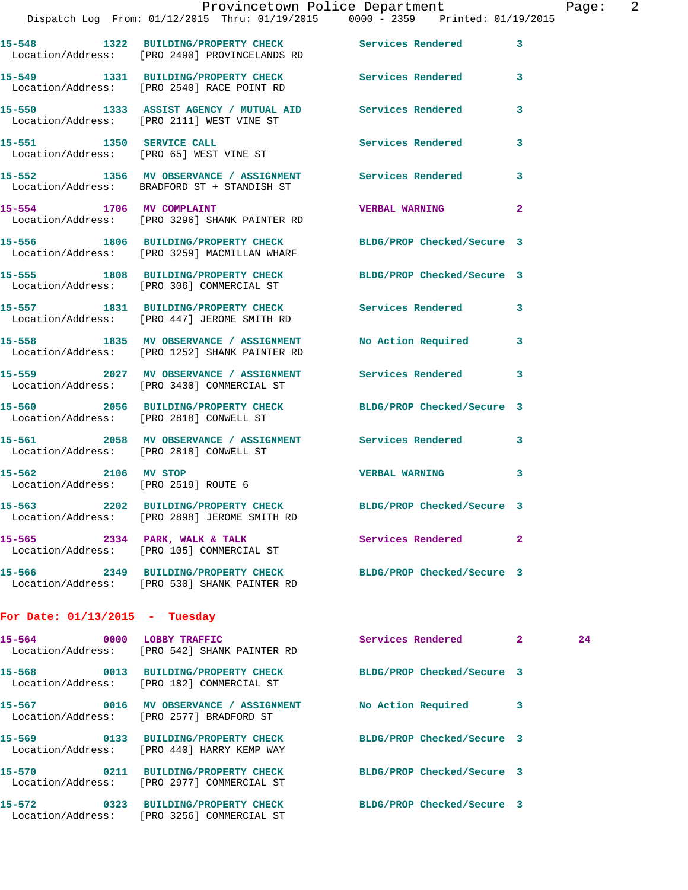|                                  | Provincetown Police Department<br>Dispatch Log From: 01/12/2015 Thru: 01/19/2015 0000 - 2359 Printed: 01/19/2015 |                            |              | Page |
|----------------------------------|------------------------------------------------------------------------------------------------------------------|----------------------------|--------------|------|
|                                  | 15-548 1322 BUILDING/PROPERTY CHECK Services Rendered 3<br>Location/Address: [PRO 2490] PROVINCELANDS RD         |                            |              |      |
|                                  | 15-549 1331 BUILDING/PROPERTY CHECK Services Rendered 3<br>Location/Address: [PRO 2540] RACE POINT RD            |                            |              |      |
|                                  | 15-550 1333 ASSIST AGENCY / MUTUAL AID Services Rendered<br>Location/Address: [PRO 2111] WEST VINE ST            |                            | 3            |      |
|                                  | 15-551 1350 SERVICE CALL<br>Location/Address: [PRO 65] WEST VINE ST                                              | Services Rendered 3        |              |      |
|                                  | 15-552 1356 MV OBSERVANCE / ASSIGNMENT Services Rendered<br>Location/Address: BRADFORD ST + STANDISH ST          |                            | 3            |      |
|                                  | 15-554 1706 MV COMPLAINT 1999 12 VERBAL WARNING 2<br>Location/Address: [PRO 3296] SHANK PAINTER RD               |                            |              |      |
|                                  | 15-556 1806 BUILDING/PROPERTY CHECK BLDG/PROP Checked/Secure 3<br>Location/Address: [PRO 3259] MACMILLAN WHARF   |                            |              |      |
|                                  | 15-555 1808 BUILDING/PROPERTY CHECK BLDG/PROP Checked/Secure 3<br>Location/Address: [PRO 306] COMMERCIAL ST      |                            |              |      |
|                                  | 15-557 1831 BUILDING/PROPERTY CHECK Services Rendered 3<br>Location/Address: [PRO 447] JEROME SMITH RD           |                            |              |      |
|                                  | 15-558 1835 MV OBSERVANCE / ASSIGNMENT No Action Required 3<br>Location/Address: [PRO 1252] SHANK PAINTER RD     |                            |              |      |
|                                  | 15-559 2027 MV OBSERVANCE / ASSIGNMENT Services Rendered 3<br>Location/Address: [PRO 3430] COMMERCIAL ST         |                            |              |      |
|                                  | 15-560 2056 BUILDING/PROPERTY CHECK BLDG/PROP Checked/Secure 3<br>Location/Address: [PRO 2818] CONWELL ST        |                            |              |      |
|                                  | 15-561 2058 MV OBSERVANCE / ASSIGNMENT Services Rendered 3<br>Location/Address: [PRO 2818] CONWELL ST            |                            |              |      |
| 15-562 2106 MV STOP              | Location/Address: [PRO 2519] ROUTE 6                                                                             | <b>VERBAL WARNING</b>      | 3            |      |
| $15 - 563$                       | 2202 BUILDING/PROPERTY CHECK<br>Location/Address: [PRO 2898] JEROME SMITH RD                                     | BLDG/PROP Checked/Secure 3 |              |      |
| 15-565                           | 2334 PARK, WALK & TALK<br>Location/Address: [PRO 105] COMMERCIAL ST                                              | <b>Services Rendered</b>   | $\mathbf{2}$ |      |
| 15-566                           | 2349 BUILDING/PROPERTY CHECK<br>Location/Address: [PRO 530] SHANK PAINTER RD                                     | BLDG/PROP Checked/Secure 3 |              |      |
| For Date: $01/13/2015$ - Tuesday |                                                                                                                  |                            |              |      |
| 15-564 0000 LOBBY TRAFFIC        | Location/Address: [PRO 542] SHANK PAINTER RD                                                                     | Services Rendered          | 2            | 24   |

**15-568 0013 BUILDING/PROPERTY CHECK BLDG/PROP Checked/Secure 3**  Location/Address: [PRO 182] COMMERCIAL ST **15-567 0016 MV OBSERVANCE / ASSIGNMENT No Action Required 3**  Location/Address: [PRO 2577] BRADFORD ST **15-569 0133 BUILDING/PROPERTY CHECK BLDG/PROP Checked/Secure 3**  Location/Address: [PRO 440] HARRY KEMP WAY **15-570 0211 BUILDING/PROPERTY CHECK BLDG/PROP Checked/Secure 3**  Location/Address: [PRO 2977] COMMERCIAL ST **15-572 0323 BUILDING/PROPERTY CHECK BLDG/PROP Checked/Secure 3**  Location/Address: [PRO 3256] COMMERCIAL ST

Page: 2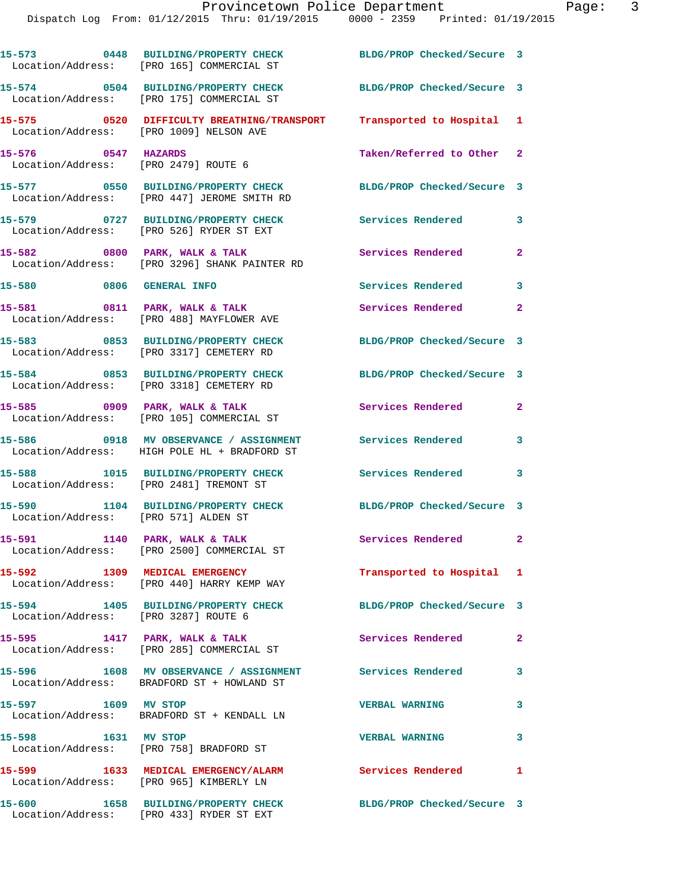|                                      | 15-573 0448 BUILDING/PROPERTY CHECK<br>Location/Address: [PRO 165] COMMERCIAL ST                  | BLDG/PROP Checked/Secure 3 |                         |
|--------------------------------------|---------------------------------------------------------------------------------------------------|----------------------------|-------------------------|
|                                      | 15-574 0504 BUILDING/PROPERTY CHECK<br>Location/Address: [PRO 175] COMMERCIAL ST                  | BLDG/PROP Checked/Secure 3 |                         |
|                                      | 15-575 0520 DIFFICULTY BREATHING/TRANSPORT<br>Location/Address: [PRO 1009] NELSON AVE             | Transported to Hospital 1  |                         |
| 15-576 0547 HAZARDS                  | Location/Address: [PRO 2479] ROUTE 6                                                              | Taken/Referred to Other 2  |                         |
|                                      | 15-577 0550 BUILDING/PROPERTY CHECK<br>Location/Address: [PRO 447] JEROME SMITH RD                | BLDG/PROP Checked/Secure 3 |                         |
|                                      | 15-579 0727 BUILDING/PROPERTY CHECK<br>Location/Address: [PRO 526] RYDER ST EXT                   | Services Rendered 3        |                         |
|                                      | 15-582 0800 PARK, WALK & TALK<br>Location/Address: [PRO 3296] SHANK PAINTER RD                    | Services Rendered          | $\mathbf{2}$            |
| 15-580 0806 GENERAL INFO             |                                                                                                   | Services Rendered 3        |                         |
|                                      | 15-581 0811 PARK, WALK & TALK<br>Location/Address: [PRO 488] MAYFLOWER AVE                        | Services Rendered          | $\mathbf{2}$            |
|                                      | 15-583 0853 BUILDING/PROPERTY CHECK<br>Location/Address: [PRO 3317] CEMETERY RD                   | BLDG/PROP Checked/Secure 3 |                         |
|                                      | 15-584 0853 BUILDING/PROPERTY CHECK<br>Location/Address: [PRO 3318] CEMETERY RD                   | BLDG/PROP Checked/Secure 3 |                         |
|                                      | 15-585 0909 PARK, WALK & TALK<br>Location/Address: [PRO 105] COMMERCIAL ST                        | Services Rendered 2        |                         |
|                                      | 15-586 0918 MV OBSERVANCE / ASSIGNMENT<br>Location/Address: HIGH POLE HL + BRADFORD ST            | Services Rendered          | 3                       |
|                                      | 15-588 1015 BUILDING/PROPERTY CHECK<br>Location/Address: [PRO 2481] TREMONT ST                    | Services Rendered 3        |                         |
| Location/Address: [PRO 571] ALDEN ST | 15-590 1104 BUILDING/PROPERTY CHECK                                                               | BLDG/PROP Checked/Secure 3 |                         |
|                                      | 15-591 1140 PARK, WALK & TALK<br>Location/Address: [PRO 2500] COMMERCIAL ST                       | <b>Services Rendered</b>   |                         |
|                                      | 15-592 1309 MEDICAL EMERGENCY<br>Location/Address: [PRO 440] HARRY KEMP WAY                       | Transported to Hospital 1  |                         |
| Location/Address: [PRO 3287] ROUTE 6 | 15-594 1405 BUILDING/PROPERTY CHECK                                                               | BLDG/PROP Checked/Secure 3 |                         |
|                                      | 15-595 1417 PARK, WALK & TALK<br>Location/Address: [PRO 285] COMMERCIAL ST                        | Services Rendered          | $\mathbf{2}$            |
| 15-596                               | 1608 MV OBSERVANCE / ASSIGNMENT Services Rendered 3<br>Location/Address: BRADFORD ST + HOWLAND ST |                            |                         |
| 15-597 1609 MV STOP                  | Location/Address: BRADFORD ST + KENDALL LN                                                        | <b>VERBAL WARNING</b>      | 3                       |
| 1631 MV STOP<br>15-598               | Location/Address: [PRO 758] BRADFORD ST                                                           | <b>VERBAL WARNING</b>      | $\overline{\mathbf{3}}$ |
|                                      | 15-599 1633 MEDICAL EMERGENCY/ALARM<br>Location/Address: [PRO 965] KIMBERLY LN                    | Services Rendered          | $\mathbf{1}$            |
| 15-600                               | 1658 BUILDING/PROPERTY CHECK                                                                      | BLDG/PROP Checked/Secure 3 |                         |

Location/Address: [PRO 433] RYDER ST EXT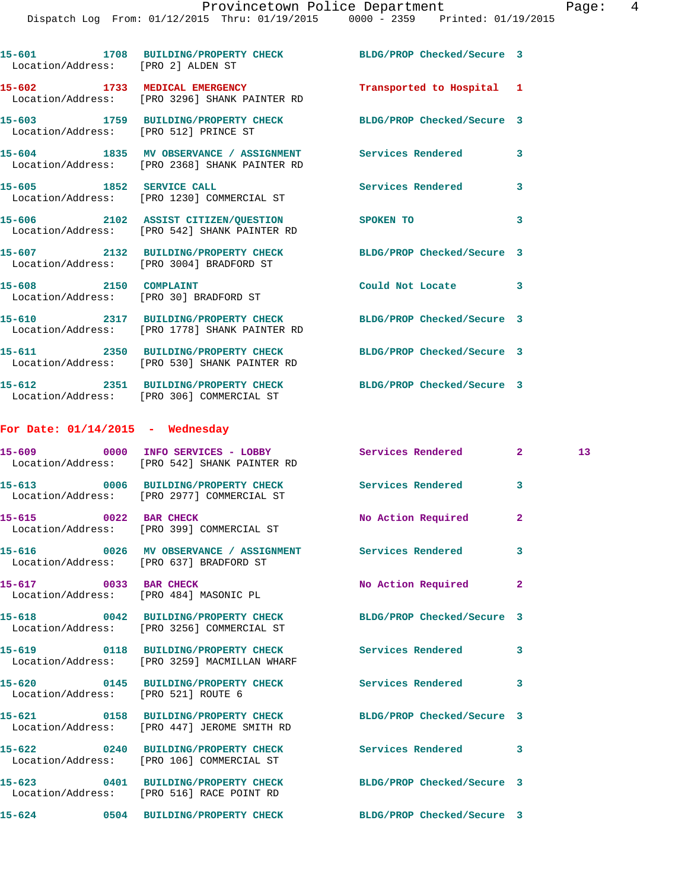| Location/Address: [PRO 2] ALDEN ST         | 15-601 1708 BUILDING/PROPERTY CHECK BLDG/PROP Checked/Secure 3                                             |                            |                         |
|--------------------------------------------|------------------------------------------------------------------------------------------------------------|----------------------------|-------------------------|
| Location/Address:                          | 15-602 1733 MEDICAL EMERGENCY<br>[PRO 3296] SHANK PAINTER RD                                               | Transported to Hospital 1  |                         |
| Location/Address: [PRO 512] PRINCE ST      | 15-603 1759 BUILDING/PROPERTY CHECK                                                                        | BLDG/PROP Checked/Secure 3 |                         |
|                                            | 15-604 1835 MV OBSERVANCE / ASSIGNMENT Services Rendered<br>Location/Address: [PRO 2368] SHANK PAINTER RD  |                            | $\mathbf{3}$            |
|                                            | 15-605 1852 SERVICE CALL<br>Location/Address: [PRO 1230] COMMERCIAL ST                                     | <b>Services Rendered</b>   | $\overline{\mathbf{3}}$ |
|                                            | 15-606 2102 ASSIST CITIZEN/QUESTION<br>Location/Address: [PRO 542] SHANK PAINTER RD                        | <b>SPOKEN TO</b>           | $\mathbf{3}$            |
|                                            | 15-607 2132 BUILDING/PROPERTY CHECK BLDG/PROP Checked/Secure 3<br>Location/Address: [PRO 3004] BRADFORD ST |                            |                         |
| 15-608 2150 COMPLAINT<br>Location/Address: | [PRO 30] BRADFORD ST                                                                                       | Could Not Locate           | $\overline{\mathbf{3}}$ |
|                                            | 15-610 2317 BUILDING/PROPERTY CHECK<br>Location/Address: [PRO 1778] SHANK PAINTER RD                       | BLDG/PROP Checked/Secure 3 |                         |
|                                            | 15-611 2350 BUILDING/PROPERTY CHECK<br>Location/Address: [PRO 530] SHANK PAINTER RD                        | BLDG/PROP Checked/Secure 3 |                         |
|                                            | 15-612 2351 BUILDING/PROPERTY CHECK BLDG/PROP Checked/Secure 3                                             |                            |                         |

## **For Date: 01/14/2015 - Wednesday**

Location/Address: [PRO 306] COMMERCIAL ST

|                                     | 15-609 0000 INFO SERVICES - LOBBY Services Rendered 2<br>Location/Address: [PRO 542] SHANK PAINTER RD         |                    |                         | 13 <sup>°</sup> |
|-------------------------------------|---------------------------------------------------------------------------------------------------------------|--------------------|-------------------------|-----------------|
|                                     | 15-613 0006 BUILDING/PROPERTY CHECK Services Rendered<br>Location/Address: [PRO 2977] COMMERCIAL ST           |                    | $\overline{3}$          |                 |
| 15-615 0022 BAR CHECK               | Location/Address: [PRO 399] COMMERCIAL ST                                                                     | No Action Required | $\mathbf{2}$            |                 |
|                                     | 15-616 		 0026 MV OBSERVANCE / ASSIGNMENT Services Rendered<br>Location/Address: [PRO 637] BRADFORD ST        |                    | $\overline{\mathbf{3}}$ |                 |
|                                     | 15-617 0033 BAR CHECK<br>Location/Address: [PRO 484] MASONIC PL                                               | No Action Required | $\overline{2}$          |                 |
|                                     | 15-618 0042 BUILDING/PROPERTY CHECK BLDG/PROP Checked/Secure 3<br>Location/Address: [PRO 3256] COMMERCIAL ST  |                    |                         |                 |
|                                     | 15-619 		 0118 BUILDING/PROPERTY CHECK Services Rendered<br>Location/Address: [PRO 3259] MACMILLAN WHARF      |                    | $\overline{\mathbf{3}}$ |                 |
| Location/Address: [PRO 521] ROUTE 6 | 15-620 0145 BUILDING/PROPERTY CHECK Services Rendered                                                         |                    | $\overline{\mathbf{3}}$ |                 |
|                                     | 15-621 0158 BUILDING/PROPERTY CHECK BLDG/PROP Checked/Secure 3<br>Location/Address: [PRO 447] JEROME SMITH RD |                    |                         |                 |
|                                     | Location/Address: [PRO 106] COMMERCIAL ST                                                                     |                    | 3                       |                 |
|                                     | 15-623 0401 BUILDING/PROPERTY CHECK BLDG/PROP Checked/Secure 3<br>Location/Address: [PRO 516] RACE POINT RD   |                    |                         |                 |
|                                     | 15-624 0504 BUILDING/PROPERTY CHECK BLDG/PROP Checked/Secure 3                                                |                    |                         |                 |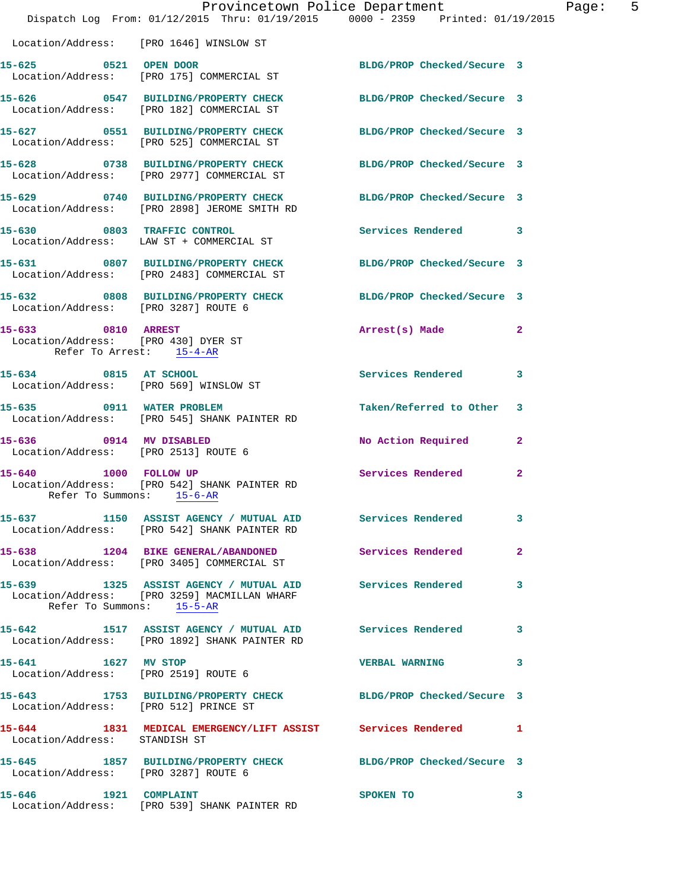|                                                                                       | Dispatch Log From: 01/12/2015 Thru: 01/19/2015 0000 - 2359 Printed: 01/19/2015                                 | Provincetown Police Department | Page: 5      |  |
|---------------------------------------------------------------------------------------|----------------------------------------------------------------------------------------------------------------|--------------------------------|--------------|--|
|                                                                                       | Location/Address: [PRO 1646] WINSLOW ST                                                                        |                                |              |  |
| 15-625 0521 OPEN DOOR                                                                 | Location/Address: [PRO 175] COMMERCIAL ST                                                                      | BLDG/PROP Checked/Secure 3     |              |  |
|                                                                                       | 15-626 0547 BUILDING/PROPERTY CHECK BLDG/PROP Checked/Secure 3<br>Location/Address: [PRO 182] COMMERCIAL ST    |                                |              |  |
|                                                                                       | 15-627 0551 BUILDING/PROPERTY CHECK BLDG/PROP Checked/Secure 3<br>Location/Address: [PRO 525] COMMERCIAL ST    |                                |              |  |
|                                                                                       | 15-628 0738 BUILDING/PROPERTY CHECK BLDG/PROP Checked/Secure 3<br>Location/Address: [PRO 2977] COMMERCIAL ST   |                                |              |  |
|                                                                                       | 15-629 0740 BUILDING/PROPERTY CHECK BLDG/PROP Checked/Secure 3<br>Location/Address: [PRO 2898] JEROME SMITH RD |                                |              |  |
|                                                                                       | 15-630 0803 TRAFFIC CONTROL<br>Location/Address: LAW ST + COMMERCIAL ST                                        | Services Rendered 3            |              |  |
|                                                                                       | 15-631 0807 BUILDING/PROPERTY CHECK BLDG/PROP Checked/Secure 3<br>Location/Address: [PRO 2483] COMMERCIAL ST   |                                |              |  |
| Location/Address: [PRO 3287] ROUTE 6                                                  | 15-632 0808 BUILDING/PROPERTY CHECK BLDG/PROP Checked/Secure 3                                                 |                                |              |  |
| 15-633 0810 ARREST<br>Location/Address: [PRO 430] DYER ST<br>Refer To Arrest: 15-4-AR |                                                                                                                | Arrest(s) Made                 | $\mathbf{2}$ |  |
|                                                                                       | 15-634 0815 AT SCHOOL<br>Location/Address: [PRO 569] WINSLOW ST                                                | Services Rendered 3            |              |  |
|                                                                                       | 15-635 0911 WATER PROBLEM<br>Location/Address: [PRO 545] SHANK PAINTER RD                                      | Taken/Referred to Other 3      |              |  |
| 15-636 0914 MV DISABLED                                                               | Location/Address: [PRO 2513] ROUTE 6                                                                           | No Action Required 2           |              |  |
| Refer To Summons: 15-6-AR                                                             | 15-640 1000 FOLLOW UP<br>Location/Address: [PRO 542] SHANK PAINTER RD                                          | Services Rendered              | $\mathbf{2}$ |  |
|                                                                                       | 15-637 1150 ASSIST AGENCY / MUTUAL AID Services Rendered 3<br>Location/Address: [PRO 542] SHANK PAINTER RD     |                                |              |  |
|                                                                                       | 15-638 1204 BIKE GENERAL/ABANDONED Services Rendered 2<br>Location/Address: [PRO 3405] COMMERCIAL ST           |                                |              |  |
| Refer To Summons: 15-5-AR                                                             | 15-639 1325 ASSIST AGENCY / MUTUAL AID Services Rendered 3<br>Location/Address: [PRO 3259] MACMILLAN WHARF     |                                |              |  |
|                                                                                       | 15-642 1517 ASSIST AGENCY / MUTUAL AID Services Rendered<br>Location/Address: [PRO 1892] SHANK PAINTER RD      |                                | 3            |  |
| 15-641 1627 MV STOP                                                                   | Location/Address: [PRO 2519] ROUTE 6                                                                           | VERBAL WARNING 3               |              |  |
|                                                                                       | 15-643 1753 BUILDING/PROPERTY CHECK BLDG/PROP Checked/Secure 3<br>Location/Address: [PRO 512] PRINCE ST        |                                |              |  |
| Location/Address: STANDISH ST                                                         | 15-644 1831 MEDICAL EMERGENCY/LIFT ASSIST Services Rendered 1                                                  |                                |              |  |
| Location/Address: [PRO 3287] ROUTE 6                                                  | 15-645 1857 BUILDING/PROPERTY CHECK BLDG/PROP Checked/Secure 3                                                 |                                |              |  |
|                                                                                       | 15-646 1921 COMPLAINT<br>Location/Address: [PRO 539] SHANK PAINTER RD                                          | <b>SPOKEN TO</b>               | 3            |  |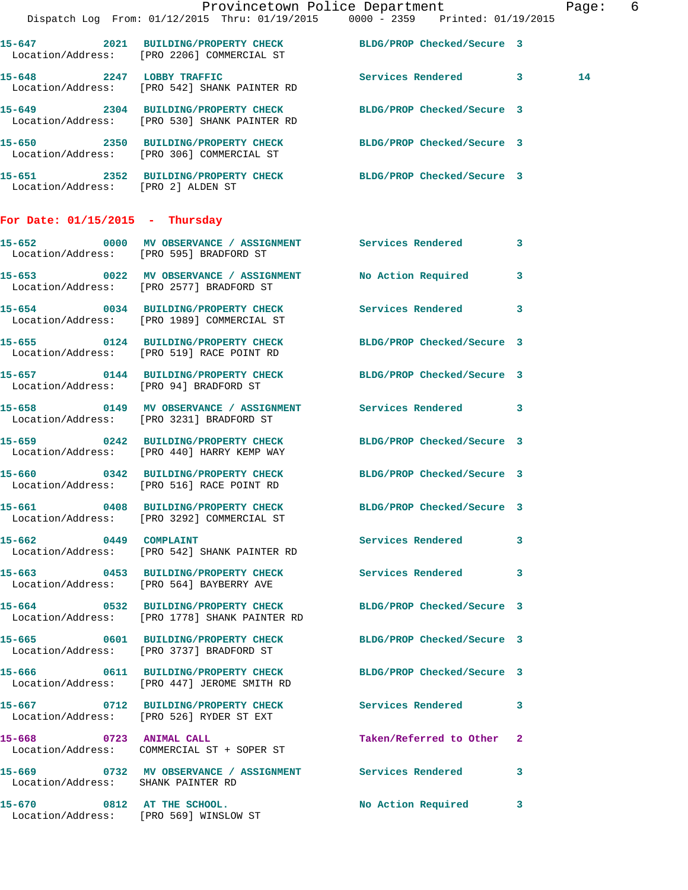|                                                                      | Provincetown Police Department<br>Dispatch Log From: 01/12/2015 Thru: 01/19/2015 0000 - 2359 Printed: 01/19/2015 |                            | Page: 6 |  |
|----------------------------------------------------------------------|------------------------------------------------------------------------------------------------------------------|----------------------------|---------|--|
|                                                                      | 15-647 2021 BUILDING/PROPERTY CHECK BLDG/PROP Checked/Secure 3<br>Location/Address: [PRO 2206] COMMERCIAL ST     |                            |         |  |
|                                                                      | 15-648 2247 LOBBY TRAFFIC<br>Location/Address: [PRO 542] SHANK PAINTER RD                                        | Services Rendered 3        | 14      |  |
|                                                                      | 15-649 2304 BUILDING/PROPERTY CHECK BLDG/PROP Checked/Secure 3<br>Location/Address: [PRO 530] SHANK PAINTER RD   |                            |         |  |
|                                                                      | 15-650 2350 BUILDING/PROPERTY CHECK BLDG/PROP Checked/Secure 3<br>Location/Address: [PRO 306] COMMERCIAL ST      |                            |         |  |
| Location/Address: [PRO 2] ALDEN ST                                   | 15-651 2352 BUILDING/PROPERTY CHECK BLDG/PROP Checked/Secure 3                                                   |                            |         |  |
| For Date: $01/15/2015$ - Thursday                                    |                                                                                                                  |                            |         |  |
|                                                                      | 15-652 0000 MV OBSERVANCE / ASSIGNMENT Services Rendered 3<br>Location/Address: [PRO 595] BRADFORD ST            |                            |         |  |
|                                                                      | 15-653 0022 MV OBSERVANCE / ASSIGNMENT No Action Required 3<br>Location/Address: [PRO 2577] BRADFORD ST          |                            |         |  |
|                                                                      | 15-654 0034 BUILDING/PROPERTY CHECK Services Rendered 3<br>Location/Address: [PRO 1989] COMMERCIAL ST            |                            |         |  |
|                                                                      | 15-655 0124 BUILDING/PROPERTY CHECK BLDG/PROP Checked/Secure 3<br>Location/Address: [PRO 519] RACE POINT RD      |                            |         |  |
| Location/Address: [PRO 94] BRADFORD ST                               | 15-657 0144 BUILDING/PROPERTY CHECK BLDG/PROP Checked/Secure 3                                                   |                            |         |  |
|                                                                      | 15-658 0149 MV OBSERVANCE / ASSIGNMENT Services Rendered 3<br>Location/Address: [PRO 3231] BRADFORD ST           |                            |         |  |
|                                                                      | 15-659 0242 BUILDING/PROPERTY CHECK BLDG/PROP Checked/Secure 3<br>Location/Address: [PRO 440] HARRY KEMP WAY     |                            |         |  |
|                                                                      | 15-660 0342 BUILDING/PROPERTY CHECK BLDG/PROP Checked/Secure 3<br>Location/Address: [PRO 516] RACE POINT RD      |                            |         |  |
|                                                                      | 15-661 0408 BUILDING/PROPERTY CHECK<br>Location/Address: [PRO 3292] COMMERCIAL ST                                | BLDG/PROP Checked/Secure 3 |         |  |
| 15-662 0449 COMPLAINT                                                | Location/Address: [PRO 542] SHANK PAINTER RD                                                                     | Services Rendered 3        |         |  |
|                                                                      | 15-663 0453 BUILDING/PROPERTY CHECK Services Rendered 3<br>Location/Address: [PRO 564] BAYBERRY AVE              |                            |         |  |
|                                                                      | 15-664 0532 BUILDING/PROPERTY CHECK BLDG/PROP Checked/Secure 3<br>Location/Address: [PRO 1778] SHANK PAINTER RD  |                            |         |  |
|                                                                      | 15-665 0601 BUILDING/PROPERTY CHECK<br>Location/Address: [PRO 3737] BRADFORD ST                                  | BLDG/PROP Checked/Secure 3 |         |  |
|                                                                      | 15-666 0611 BUILDING/PROPERTY CHECK<br>Location/Address: [PRO 447] JEROME SMITH RD                               | BLDG/PROP Checked/Secure 3 |         |  |
|                                                                      | 15-667 0712 BUILDING/PROPERTY CHECK Services Rendered 3<br>Location/Address: [PRO 526] RYDER ST EXT              |                            |         |  |
|                                                                      | 15-668 0723 ANIMAL CALL<br>Location/Address: COMMERCIAL ST + SOPER ST                                            | Taken/Referred to Other 2  |         |  |
| Location/Address: SHANK PAINTER RD                                   | 15-669 0732 MV OBSERVANCE / ASSIGNMENT Services Rendered 3                                                       |                            |         |  |
| 15-670 0812 AT THE SCHOOL.<br>Location/Address: [PRO 569] WINSLOW ST |                                                                                                                  | No Action Required 3       |         |  |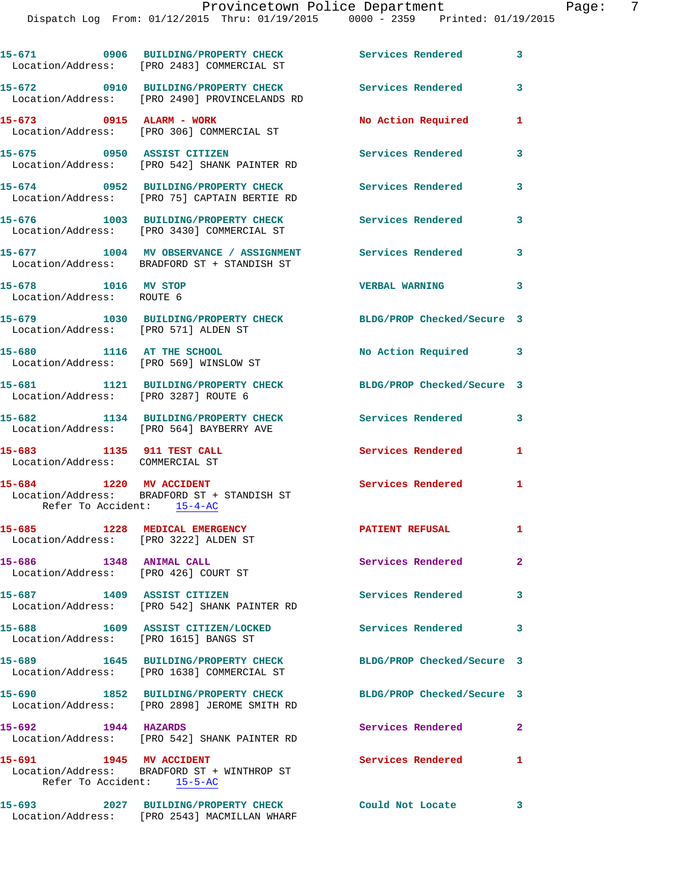|                                                                     | 15-671 0906 BUILDING/PROPERTY CHECK<br>Location/Address: [PRO 2483] COMMERCIAL ST     | <b>Services Rendered</b>   | $\overline{\mathbf{3}}$ |
|---------------------------------------------------------------------|---------------------------------------------------------------------------------------|----------------------------|-------------------------|
| 15-672                                                              | 0910 BUILDING/PROPERTY CHECK<br>Location/Address: [PRO 2490] PROVINCELANDS RD         | <b>Services Rendered</b>   | $\overline{\mathbf{3}}$ |
|                                                                     | 15-673 0915 ALARM - WORK<br>Location/Address: [PRO 306] COMMERCIAL ST                 | No Action Required         | 1                       |
| 15-675 0950 ASSIST CITIZEN                                          | Location/Address: [PRO 542] SHANK PAINTER RD                                          | Services Rendered          | 3                       |
|                                                                     | 15-674 0952 BUILDING/PROPERTY CHECK<br>Location/Address: [PRO 75] CAPTAIN BERTIE RD   | <b>Services Rendered</b>   | 3                       |
|                                                                     | 15-676 1003 BUILDING/PROPERTY CHECK<br>Location/Address: [PRO 3430] COMMERCIAL ST     | <b>Services Rendered</b>   | 3                       |
|                                                                     | 15-677 1004 MV OBSERVANCE / ASSIGNMENT<br>Location/Address: BRADFORD ST + STANDISH ST | Services Rendered          | 3                       |
| 15-678 1016 MV STOP<br>Location/Address: ROUTE 6                    |                                                                                       | <b>VERBAL WARNING</b>      | 3                       |
| Location/Address: [PRO 571] ALDEN ST                                | 15-679 1030 BUILDING/PROPERTY CHECK                                                   | BLDG/PROP Checked/Secure 3 |                         |
| 15-680 1116 AT THE SCHOOL<br>Location/Address: [PRO 569] WINSLOW ST |                                                                                       | No Action Required 3       |                         |
| Location/Address: [PRO 3287] ROUTE 6                                | 15-681 1121 BUILDING/PROPERTY CHECK                                                   | BLDG/PROP Checked/Secure 3 |                         |
|                                                                     | 15-682 1134 BUILDING/PROPERTY CHECK<br>Location/Address: [PRO 564] BAYBERRY AVE       | <b>Services Rendered</b>   | $\mathbf{3}$            |
| 15-683 1135 911 TEST CALL<br>Location/Address: COMMERCIAL ST        |                                                                                       | Services Rendered          | $\mathbf{1}$            |
| Refer To Accident: 15-4-AC                                          | 15-684 1220 MV ACCIDENT<br>Location/Address: BRADFORD ST + STANDISH ST                | <b>Services Rendered</b>   | 1                       |
| 15-685<br>Location/Address: [PRO 3222] ALDEN ST                     | 1228 MEDICAL EMERGENCY                                                                | PATIENT REFUSAL 1          |                         |
| 15-686 1348 ANIMAL CALL<br>Location/Address: [PRO 426] COURT ST     |                                                                                       | Services Rendered          | $\mathbf{2}$            |
| 15-687                                                              | 1409 ASSIST CITIZEN<br>Location/Address: [PRO 542] SHANK PAINTER RD                   | Services Rendered          | 3                       |
| Location/Address: [PRO 1615] BANGS ST                               | 15-688 1609 ASSIST CITIZEN/LOCKED                                                     | <b>Services Rendered</b>   | 3                       |
|                                                                     | 15-689 1645 BUILDING/PROPERTY CHECK<br>Location/Address: [PRO 1638] COMMERCIAL ST     | BLDG/PROP Checked/Secure 3 |                         |
|                                                                     | 15-690 1852 BUILDING/PROPERTY CHECK<br>Location/Address: [PRO 2898] JEROME SMITH RD   | BLDG/PROP Checked/Secure 3 |                         |
| 1944 HAZARDS<br>15-692                                              | Location/Address: [PRO 542] SHANK PAINTER RD                                          | Services Rendered 2        |                         |
| 15-691 1945 MV ACCIDENT<br>Refer To Accident: 15-5-AC               | Location/Address: BRADFORD ST + WINTHROP ST                                           | <b>Services Rendered</b>   | 1                       |
| 15-693                                                              | 2027 BUILDING/PROPERTY CHECK<br>Location/Address: [PRO 2543] MACMILLAN WHARF          | Could Not Locate           | $\mathbf{3}$            |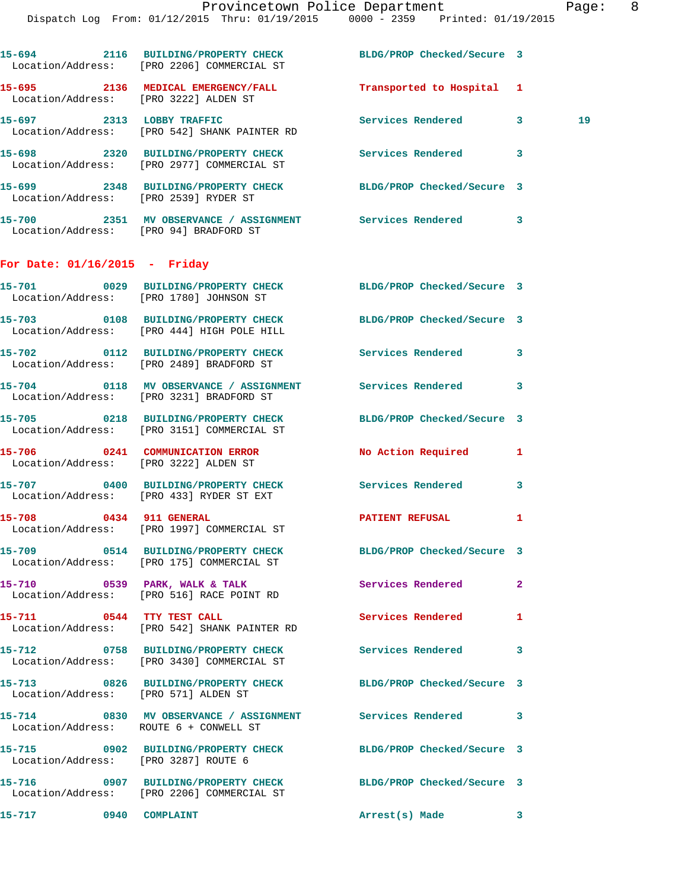|                                 | 15-694 2116 BUILDING/PROPERTY CHECK BLDG/PROP Checked/Secure 3<br>Location/Address: [PRO 2206] COMMERCIAL ST |                            |              |    |
|---------------------------------|--------------------------------------------------------------------------------------------------------------|----------------------------|--------------|----|
|                                 | 15-695 2136 MEDICAL EMERGENCY/FALL<br>Location/Address: [PRO 3222] ALDEN ST                                  | Transported to Hospital 1  |              |    |
|                                 | 15-697 2313 LOBBY TRAFFIC<br>Location/Address: [PRO 542] SHANK PAINTER RD                                    | Services Rendered 3        |              | 19 |
|                                 | 15-698 2320 BUILDING/PROPERTY CHECK<br>Location/Address: [PRO 2977] COMMERCIAL ST                            | Services Rendered 3        |              |    |
|                                 | 15-699 2348 BUILDING/PROPERTY CHECK BLDG/PROP Checked/Secure 3<br>Location/Address: [PRO 2539] RYDER ST      |                            |              |    |
|                                 | 15-700 2351 MV OBSERVANCE / ASSIGNMENT Services Rendered 3<br>Location/Address: [PRO 94] BRADFORD ST         |                            |              |    |
| For Date: $01/16/2015$ - Friday |                                                                                                              |                            |              |    |
|                                 | 15-701 0029 BUILDING/PROPERTY CHECK BLDG/PROP Checked/Secure 3<br>Location/Address: [PRO 1780] JOHNSON ST    |                            |              |    |
|                                 | 15-703 0108 BUILDING/PROPERTY CHECK BLDG/PROP Checked/Secure 3<br>Location/Address: [PRO 444] HIGH POLE HILL |                            |              |    |
|                                 | 15-702 0112 BUILDING/PROPERTY CHECK Services Rendered 3<br>Location/Address: [PRO 2489] BRADFORD ST          |                            |              |    |
|                                 | 15-704 0118 MV OBSERVANCE / ASSIGNMENT Services Rendered<br>Location/Address: [PRO 3231] BRADFORD ST         |                            | 3            |    |
|                                 | 15-705 0218 BUILDING/PROPERTY CHECK BLDG/PROP Checked/Secure 3<br>Location/Address: [PRO 3151] COMMERCIAL ST |                            |              |    |
|                                 | 15-706 0241 COMMUNICATION ERROR No Action Required<br>Location/Address: [PRO 3222] ALDEN ST                  |                            | 1            |    |
|                                 | 15-707 0400 BUILDING/PROPERTY CHECK Services Rendered 3<br>Location/Address: [PRO 433] RYDER ST EXT          |                            |              |    |
|                                 | 15-708 0434 911 GENERAL<br>Location/Address: [PRO 1997] COMMERCIAL ST                                        | <b>PATIENT REFUSAL</b>     | 1            |    |
|                                 | 15-709 0514 BUILDING/PROPERTY CHECK<br>Location/Address: [PRO 175] COMMERCIAL ST                             | BLDG/PROP Checked/Secure 3 |              |    |
|                                 | 15-710 0539 PARK, WALK & TALK<br>Location/Address: [PRO 516] RACE POINT RD                                   | Services Rendered          | $\mathbf{2}$ |    |
| 15-711 0544 TTY TEST CALL       | Location/Address: [PRO 542] SHANK PAINTER RD                                                                 | Services Rendered          | 1            |    |
|                                 | 15-712 0758 BUILDING/PROPERTY CHECK Services Rendered<br>Location/Address: [PRO 3430] COMMERCIAL ST          |                            | 3            |    |
|                                 | 15-713 0826 BUILDING/PROPERTY CHECK BLDG/PROP Checked/Secure 3<br>Location/Address: [PRO 571] ALDEN ST       |                            |              |    |
|                                 | 15-714 0830 MV OBSERVANCE / ASSIGNMENT Services Rendered<br>Location/Address: ROUTE 6 + CONWELL ST           |                            | 3            |    |
|                                 | 15-715 0902 BUILDING/PROPERTY CHECK BLDG/PROP Checked/Secure 3<br>Location/Address: [PRO 3287] ROUTE 6       |                            |              |    |
|                                 | 15-716 0907 BUILDING/PROPERTY CHECK BLDG/PROP Checked/Secure 3<br>Location/Address: [PRO 2206] COMMERCIAL ST |                            |              |    |
| 15-717                          | 0940 COMPLAINT                                                                                               | Arrest(s) Made 3           |              |    |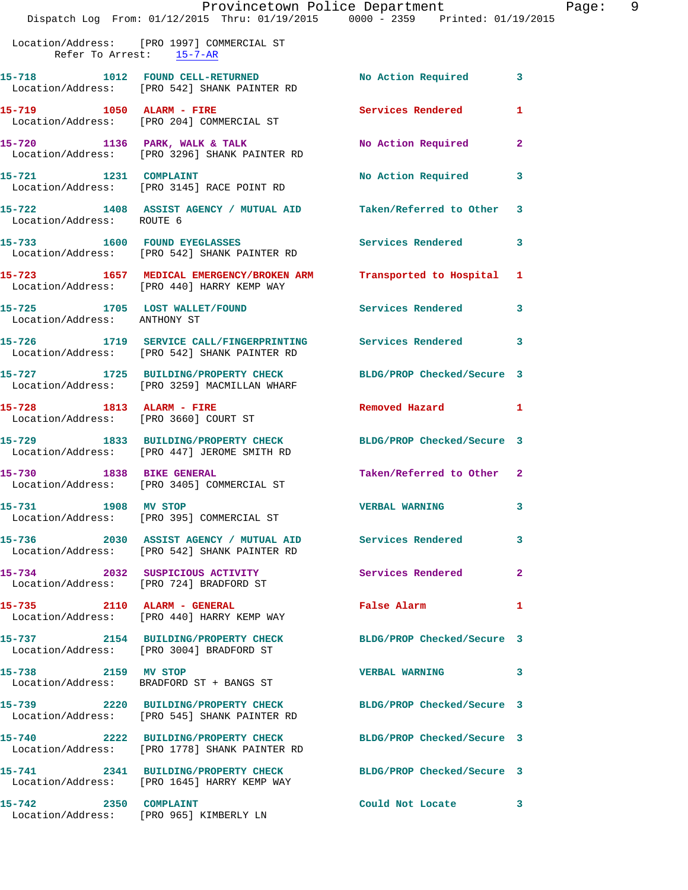|                              | Provincetown Police Department<br>Dispatch Log From: 01/12/2015 Thru: 01/19/2015 0000 - 2359 Printed: 01/19/2015 |                            |                |
|------------------------------|------------------------------------------------------------------------------------------------------------------|----------------------------|----------------|
| Refer To Arrest: 15-7-AR     | Location/Address: [PRO 1997] COMMERCIAL ST                                                                       |                            |                |
|                              | 15-718 1012 FOUND CELL-RETURNED<br>Location/Address: [PRO 542] SHANK PAINTER RD                                  | No Action Required         | 3              |
| 15-719 1050 ALARM - FIRE     | Location/Address: [PRO 204] COMMERCIAL ST                                                                        | <b>Services Rendered</b>   | 1              |
|                              | 15-720 1136 PARK, WALK & TALK<br>Location/Address: [PRO 3296] SHANK PAINTER RD                                   | No Action Required         | $\overline{a}$ |
|                              | 15-721 1231 COMPLAINT<br>Location/Address: [PRO 3145] RACE POINT RD                                              | No Action Required         | 3              |
| Location/Address: ROUTE 6    | 15-722 1408 ASSIST AGENCY / MUTUAL AID Taken/Referred to Other                                                   |                            | 3              |
|                              | 15-733 1600 FOUND EYEGLASSES<br>Location/Address: [PRO 542] SHANK PAINTER RD                                     | <b>Services Rendered</b>   | 3              |
|                              | 15-723 1657 MEDICAL EMERGENCY/BROKEN ARM Transported to Hospital<br>Location/Address: [PRO 440] HARRY KEMP WAY   |                            | 1              |
| Location/Address: ANTHONY ST | 15-725 1705 LOST WALLET/FOUND Services Rendered                                                                  |                            | 3              |
|                              | 15-726 1719 SERVICE CALL/FINGERPRINTING Services Rendered<br>Location/Address: [PRO 542] SHANK PAINTER RD        |                            | 3              |
|                              | 15-727 1725 BUILDING/PROPERTY CHECK<br>Location/Address: [PRO 3259] MACMILLAN WHARF                              | BLDG/PROP Checked/Secure 3 |                |
| 15-728 1813 ALARM - FIRE     | Location/Address: [PRO 3660] COURT ST                                                                            | Removed Hazard             | 1              |
|                              | 15-729 1833 BUILDING/PROPERTY CHECK BLDG/PROP Checked/Secure 3<br>Location/Address: [PRO 447] JEROME SMITH RD    |                            |                |
| 15-730 1838 BIKE GENERAL     | Location/Address: [PRO 3405] COMMERCIAL ST                                                                       | Taken/Referred to Other    | $\mathbf{2}$   |
| 15-731 1908 MV STOP          | Location/Address: [PRO 395] COMMERCIAL ST                                                                        | <b>VERBAL WARNING</b>      | 3              |
|                              | Location/Address: [PRO 542] SHANK PAINTER RD                                                                     |                            | 3              |
|                              | 15-734 2032 SUSPICIOUS ACTIVITY<br>Location/Address: [PRO 724] BRADFORD ST                                       | Services Rendered          | 2              |
| 15-735 2110 ALARM - GENERAL  | Location/Address: [PRO 440] HARRY KEMP WAY                                                                       | False Alarm                | 1              |
|                              | 15-737 2154 BUILDING/PROPERTY CHECK<br>Location/Address: [PRO 3004] BRADFORD ST                                  | BLDG/PROP Checked/Secure 3 |                |
| 15-738 2159 MV STOP          | Location/Address: BRADFORD ST + BANGS ST                                                                         | <b>VERBAL WARNING</b>      | 3              |
|                              | 15-739 2220 BUILDING/PROPERTY CHECK<br>Location/Address: [PRO 545] SHANK PAINTER RD                              | BLDG/PROP Checked/Secure 3 |                |
|                              | 15-740 2222 BUILDING/PROPERTY CHECK<br>Location/Address: [PRO 1778] SHANK PAINTER RD                             | BLDG/PROP Checked/Secure 3 |                |
| 15-741                       | 2341 BUILDING/PROPERTY CHECK<br>Location/Address: [PRO 1645] HARRY KEMP WAY                                      | BLDG/PROP Checked/Secure 3 |                |
|                              |                                                                                                                  |                            |                |

**15-742 2350 COMPLAINT Could Not Locate 3**  Location/Address: [PRO 965] KIMBERLY LN

Page: 9<br>2015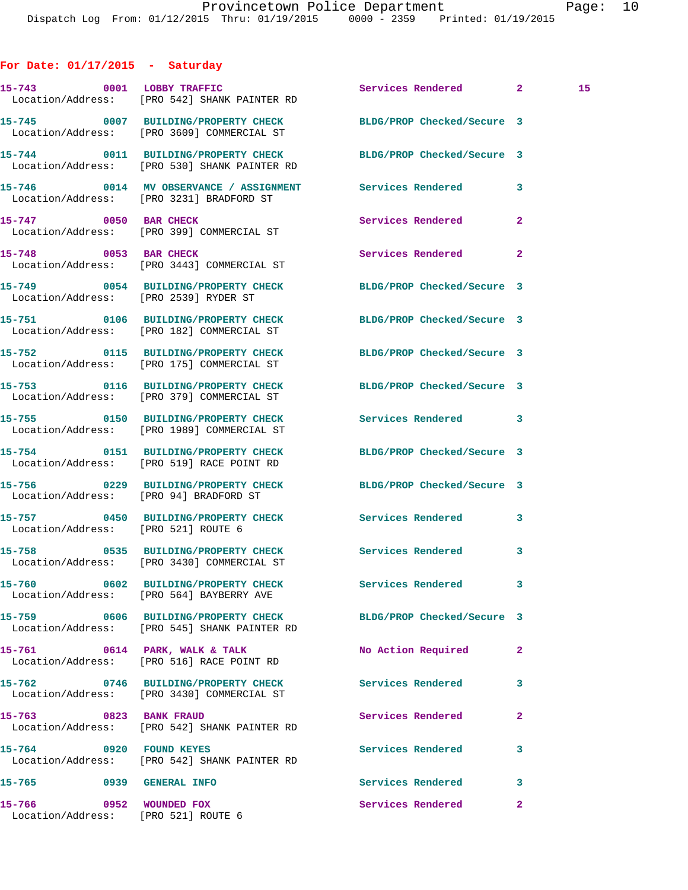| For Date: $01/17/2015$ - Saturday |                                                                                     |                                                                |              |  |
|-----------------------------------|-------------------------------------------------------------------------------------|----------------------------------------------------------------|--------------|--|
|                                   | 15-743 0001 LOBBY TRAFFIC<br>Location/Address: [PRO 542] SHANK PAINTER RD           | Services Rendered 2                                            | 15           |  |
|                                   | Location/Address: [PRO 3609] COMMERCIAL ST                                          | 15-745 0007 BUILDING/PROPERTY CHECK BLDG/PROP Checked/Secure 3 |              |  |
|                                   | Location/Address: [PRO 530] SHANK PAINTER RD                                        | 15-744 0011 BUILDING/PROPERTY CHECK BLDG/PROP Checked/Secure 3 |              |  |
|                                   | Location/Address: [PRO 3231] BRADFORD ST                                            | 15-746 0014 MV OBSERVANCE / ASSIGNMENT Services Rendered       | 3            |  |
| 15-747 0050 BAR CHECK             | Location/Address: [PRO 399] COMMERCIAL ST                                           | Services Rendered                                              | $\mathbf{2}$ |  |
|                                   | 15-748 0053 BAR CHECK<br>Location/Address: [PRO 3443] COMMERCIAL ST                 | <b>Services Rendered</b>                                       | 2            |  |
|                                   | 15-749 0054 BUILDING/PROPERTY CHECK<br>Location/Address: [PRO 2539] RYDER ST        | BLDG/PROP Checked/Secure 3                                     |              |  |
|                                   | 15-751 0106 BUILDING/PROPERTY CHECK<br>Location/Address: [PRO 182] COMMERCIAL ST    | BLDG/PROP Checked/Secure 3                                     |              |  |
|                                   | 15-752 0115 BUILDING/PROPERTY CHECK<br>Location/Address: [PRO 175] COMMERCIAL ST    | BLDG/PROP Checked/Secure 3                                     |              |  |
|                                   | 15-753 0116 BUILDING/PROPERTY CHECK<br>Location/Address: [PRO 379] COMMERCIAL ST    | BLDG/PROP Checked/Secure 3                                     |              |  |
|                                   | 15-755 0150 BUILDING/PROPERTY CHECK<br>Location/Address: [PRO 1989] COMMERCIAL ST   | Services Rendered 3                                            |              |  |
|                                   | 15-754 0151 BUILDING/PROPERTY CHECK<br>Location/Address: [PRO 519] RACE POINT RD    | BLDG/PROP Checked/Secure 3                                     |              |  |
|                                   | 15-756 0229 BUILDING/PROPERTY CHECK<br>Location/Address: [PRO 94] BRADFORD ST       | BLDG/PROP Checked/Secure 3                                     |              |  |
|                                   | Location/Address: [PRO 521] ROUTE 6                                                 | 15-757 0450 BUILDING/PROPERTY CHECK Services Rendered 3        |              |  |
| 15-758                            | 0535 BUILDING/PROPERTY CHECK<br>Location/Address: [PRO 3430] COMMERCIAL ST          | Services Rendered                                              | 3            |  |
|                                   | 15-760 0602 BUILDING/PROPERTY CHECK<br>Location/Address: [PRO 564] BAYBERRY AVE     | Services Rendered 3                                            |              |  |
|                                   | 15-759 0606 BUILDING/PROPERTY CHECK<br>Location/Address: [PRO 545] SHANK PAINTER RD | BLDG/PROP Checked/Secure 3                                     |              |  |
|                                   | 15-761 0614 PARK, WALK & TALK<br>Location/Address: [PRO 516] RACE POINT RD          | No Action Required                                             | 2            |  |
|                                   | 15-762 0746 BUILDING/PROPERTY CHECK<br>Location/Address: [PRO 3430] COMMERCIAL ST   | <b>Services Rendered</b>                                       | 3            |  |
| 15-763 0823 BANK FRAUD            | Location/Address: [PRO 542] SHANK PAINTER RD                                        | Services Rendered                                              | $\mathbf{2}$ |  |
| 15-764 0920 FOUND KEYES           | Location/Address: [PRO 542] SHANK PAINTER RD                                        | Services Rendered                                              | 3            |  |
| 15-765 0939 GENERAL INFO          |                                                                                     | Services Rendered 3                                            |              |  |
| 15-766                            | 0952 WOUNDED FOX                                                                    | Services Rendered                                              | $\mathbf{2}$ |  |

Location/Address: [PRO 521] ROUTE 6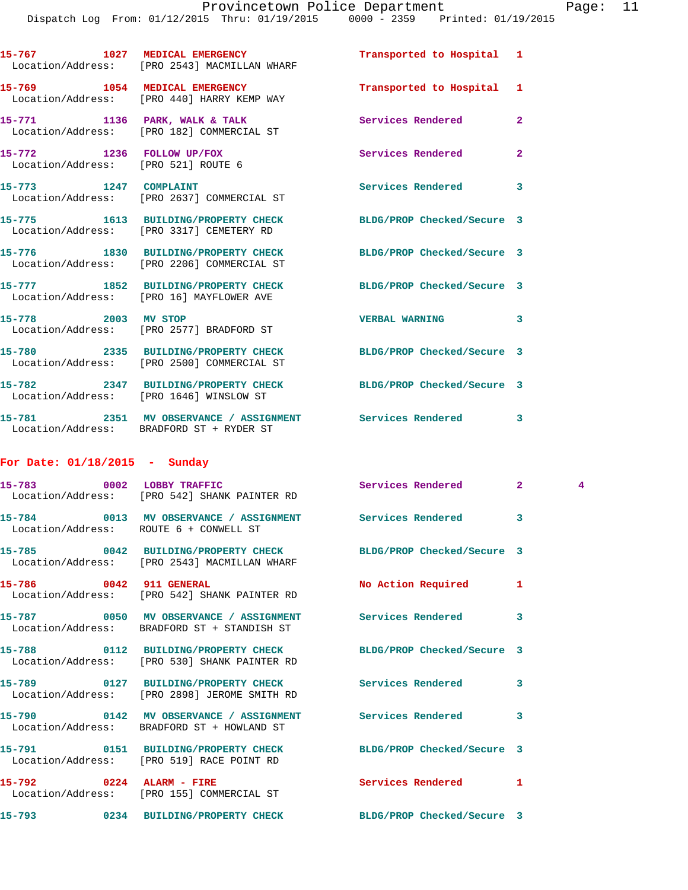Dispatch Log From: 01/12/2015 Thru: 01/19/2015 0000 - 2359 Printed: 01/19/2015

|                                        | 15-767 1027 MEDICAL EMERGENCY<br>Location/Address: [PRO 2543] MACMILLAN WHARF                               | Transported to Hospital 1  |                               |
|----------------------------------------|-------------------------------------------------------------------------------------------------------------|----------------------------|-------------------------------|
|                                        | 15-769 1054 MEDICAL EMERGENCY<br>Location/Address: [PRO 440] HARRY KEMP WAY                                 | Transported to Hospital 1  |                               |
|                                        | 15-771 1136 PARK, WALK & TALK<br>Location/Address: [PRO 182] COMMERCIAL ST                                  | Services Rendered          | $\overline{a}$                |
| Location/Address: [PRO 521] ROUTE 6    | 15-772 1236 FOLLOW UP/FOX                                                                                   | Services Rendered          | $\overline{a}$                |
|                                        | 15-773 1247 COMPLAINT<br>Location/Address: [PRO 2637] COMMERCIAL ST                                         | Services Rendered          | 3                             |
|                                        | 15-775 1613 BUILDING/PROPERTY CHECK<br>Location/Address: [PRO 3317] CEMETERY RD                             | BLDG/PROP Checked/Secure 3 |                               |
|                                        | 15-776 1830 BUILDING/PROPERTY CHECK<br>Location/Address: [PRO 2206] COMMERCIAL ST                           | BLDG/PROP Checked/Secure 3 |                               |
|                                        | 15-777 1852 BUILDING/PROPERTY CHECK<br>Location/Address: [PRO 16] MAYFLOWER AVE                             | BLDG/PROP Checked/Secure 3 |                               |
| 15-778 2003 MV STOP                    | Location/Address: [PRO 2577] BRADFORD ST                                                                    | <b>VERBAL WARNING</b>      | 3                             |
|                                        | 15-780 2335 BUILDING/PROPERTY CHECK<br>Location/Address: [PRO 2500] COMMERCIAL ST                           | BLDG/PROP Checked/Secure 3 |                               |
|                                        | 15-782 2347 BUILDING/PROPERTY CHECK BLDG/PROP Checked/Secure 3<br>Location/Address: [PRO 1646] WINSLOW ST   |                            |                               |
|                                        | 15-781 2351 MV OBSERVANCE / ASSIGNMENT Services Rendered<br>Location/Address: BRADFORD ST + RYDER ST        |                            | 3                             |
|                                        |                                                                                                             |                            |                               |
| For Date: $01/18/2015$ - Sunday        |                                                                                                             |                            |                               |
|                                        | 15-783 0002 LOBBY TRAFFIC<br>Location/Address: [PRO 542] SHANK PAINTER RD                                   | Services Rendered          | $\mathbf{2}$<br>$\frac{4}{3}$ |
| Location/Address: ROUTE 6 + CONWELL ST | 15-784 0013 MV OBSERVANCE / ASSIGNMENT Services Rendered                                                    |                            | 3                             |
|                                        | 15-785 0042 BUILDING/PROPERTY CHECK<br>Location/Address: [PRO 2543] MACMILLAN WHARF                         | BLDG/PROP Checked/Secure 3 |                               |
| 15-786 0042 911 GENERAL                | Location/Address: [PRO 542] SHANK PAINTER RD                                                                | No Action Required         | 1                             |
|                                        | 15-787 0050 MV OBSERVANCE / ASSIGNMENT Services Rendered<br>Location/Address: BRADFORD ST + STANDISH ST     |                            | 3                             |
|                                        | 15-788 0112 BUILDING/PROPERTY CHECK<br>Location/Address: [PRO 530] SHANK PAINTER RD                         | BLDG/PROP Checked/Secure 3 |                               |
|                                        | 15-789 0127 BUILDING/PROPERTY CHECK<br>Location/Address: [PRO 2898] JEROME SMITH RD                         | Services Rendered          | 3                             |
|                                        | 15-790 0142 MV OBSERVANCE / ASSIGNMENT Services Rendered<br>Location/Address: BRADFORD ST + HOWLAND ST      |                            | 3                             |
|                                        | 15-791 0151 BUILDING/PROPERTY CHECK BLDG/PROP Checked/Secure 3<br>Location/Address: [PRO 519] RACE POINT RD |                            |                               |
|                                        | 15-792 0224 ALARM - FIRE<br>Location/Address: [PRO 155] COMMERCIAL ST                                       | <b>Services Rendered</b>   | $\mathbf{1}$                  |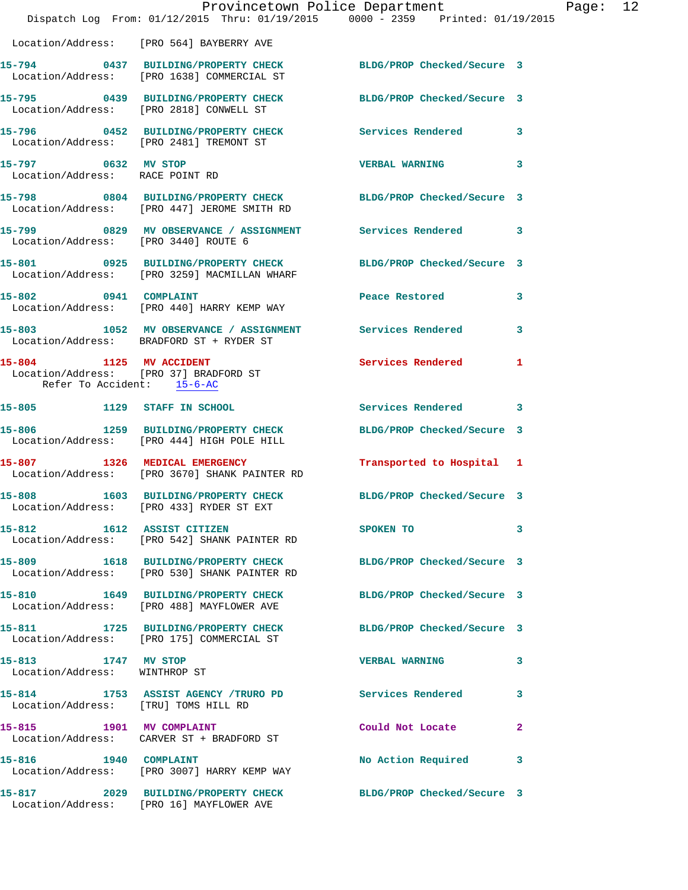|                                                                                                 | Provincetown Police Department<br>Dispatch Log From: 01/12/2015 Thru: 01/19/2015 0000 - 2359 Printed: 01/19/2015 |                            |   |
|-------------------------------------------------------------------------------------------------|------------------------------------------------------------------------------------------------------------------|----------------------------|---|
|                                                                                                 | Location/Address: [PRO 564] BAYBERRY AVE                                                                         |                            |   |
|                                                                                                 | 15-794 0437 BUILDING/PROPERTY CHECK<br>Location/Address: [PRO 1638] COMMERCIAL ST                                | BLDG/PROP Checked/Secure 3 |   |
| Location/Address: [PRO 2818] CONWELL ST                                                         | 15-795 0439 BUILDING/PROPERTY CHECK                                                                              | BLDG/PROP Checked/Secure 3 |   |
| Location/Address: [PRO 2481] TREMONT ST                                                         | 15-796 0452 BUILDING/PROPERTY CHECK                                                                              | Services Rendered          | 3 |
| 15-797 0632 MV STOP<br>Location/Address: RACE POINT RD                                          |                                                                                                                  | <b>VERBAL WARNING</b>      | 3 |
|                                                                                                 | 15-798 0804 BUILDING/PROPERTY CHECK BLDG/PROP Checked/Secure 3<br>Location/Address: [PRO 447] JEROME SMITH RD    |                            |   |
| Location/Address: [PRO 3440] ROUTE 6                                                            | 15-799 0829 MV OBSERVANCE / ASSIGNMENT Services Rendered                                                         |                            | 3 |
|                                                                                                 | 15-801 0925 BUILDING/PROPERTY CHECK<br>Location/Address: [PRO 3259] MACMILLAN WHARF                              | BLDG/PROP Checked/Secure 3 |   |
| 15-802 0941 COMPLAINT                                                                           | Location/Address: [PRO 440] HARRY KEMP WAY                                                                       | Peace Restored             | 3 |
|                                                                                                 | 15-803 1052 MV OBSERVANCE / ASSIGNMENT Services Rendered<br>Location/Address: BRADFORD ST + RYDER ST             |                            | 3 |
| 15-804 1125 MV ACCIDENT<br>Location/Address: [PRO 37] BRADFORD ST<br>Refer To Accident: 15-6-AC |                                                                                                                  | Services Rendered          | 1 |
| 15-805 1129 STAFF IN SCHOOL                                                                     |                                                                                                                  | <b>Services Rendered</b>   | 3 |
|                                                                                                 | 15-806 1259 BUILDING/PROPERTY CHECK<br>Location/Address: [PRO 444] HIGH POLE HILL                                | BLDG/PROP Checked/Secure 3 |   |
| 15-807 1326 MEDICAL EMERGENCY                                                                   | Location/Address: [PRO 3670] SHANK PAINTER RD                                                                    | Transported to Hospital 1  |   |
| 15-808                                                                                          | 1603 BUILDING/PROPERTY CHECK BLDG/PROP Checked/Secure 3<br>Location/Address: [PRO 433] RYDER ST EXT              |                            |   |
| 15-812                                                                                          | 1612 ASSIST CITIZEN<br>Location/Address: [PRO 542] SHANK PAINTER RD                                              | SPOKEN TO                  | 3 |
|                                                                                                 | 15-809 1618 BUILDING/PROPERTY CHECK BLDG/PROP Checked/Secure 3<br>Location/Address: [PRO 530] SHANK PAINTER RD   |                            |   |
|                                                                                                 | 15-810 1649 BUILDING/PROPERTY CHECK BLDG/PROP Checked/Secure 3<br>Location/Address: [PRO 488] MAYFLOWER AVE      |                            |   |
|                                                                                                 | 15-811 1725 BUILDING/PROPERTY CHECK<br>Location/Address: [PRO 175] COMMERCIAL ST                                 | BLDG/PROP Checked/Secure 3 |   |
| 15-813 1747 MV STOP<br>Location/Address: WINTHROP ST                                            |                                                                                                                  | <b>VERBAL WARNING</b>      | 3 |
| Location/Address: [TRU] TOMS HILL RD                                                            | 15-814 1753 ASSIST AGENCY / TRURO PD                                                                             | Services Rendered          | 3 |
| 15-815 1901 MV COMPLAINT                                                                        | Location/Address:    CARVER ST + BRADFORD ST                                                                     | Could Not Locate           | 2 |
| 15-816 1940 COMPLAINT                                                                           | Location/Address: [PRO 3007] HARRY KEMP WAY                                                                      | No Action Required         | 3 |
|                                                                                                 | 15-817 2029 BUILDING/PROPERTY CHECK<br>Location/Address: [PRO 16] MAYFLOWER AVE                                  | BLDG/PROP Checked/Secure 3 |   |

Page:  $12$ <br> $.5$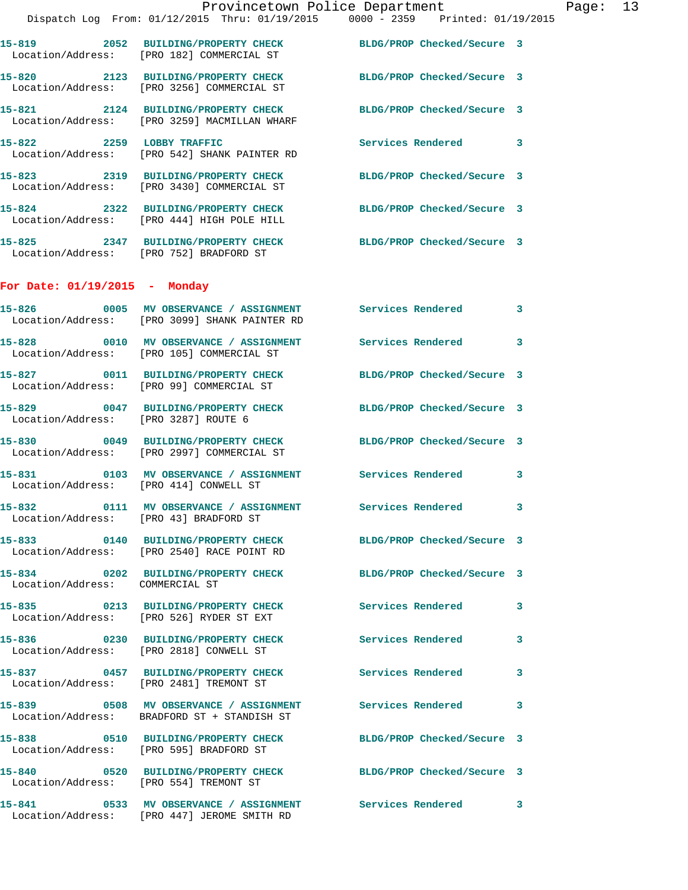Location/Address: [PRO 3259] MACMILLAN WHARF **15-822 2259 LOBBY TRAFFIC Services Rendered 3**  Location/Address: [PRO 542] SHANK PAINTER RD **15-823 2319 BUILDING/PROPERTY CHECK BLDG/PROP Checked/Secure 3** 

 Location/Address: [PRO 3430] COMMERCIAL ST **15-824 2322 BUILDING/PROPERTY CHECK BLDG/PROP Checked/Secure 3**  Location/Address: [PRO 444] HIGH POLE HILL **15-825 2347 BUILDING/PROPERTY CHECK BLDG/PROP Checked/Secure 3**  Location/Address: [PRO 752] BRADFORD ST

## **For Date: 01/19/2015 - Monday**

|                                                  | 15-826 0005 MV OBSERVANCE / ASSIGNMENT<br>Location/Address: [PRO 3099] SHANK PAINTER RD | <b>Services Rendered</b>   | $\mathbf{3}$               |
|--------------------------------------------------|-----------------------------------------------------------------------------------------|----------------------------|----------------------------|
| 15-828                                           | 0010 MV OBSERVANCE / ASSIGNMENT<br>Location/Address: [PRO 105] COMMERCIAL ST            | Services Rendered 3        |                            |
|                                                  | 15-827 0011 BUILDING/PROPERTY CHECK<br>Location/Address: [PRO 99] COMMERCIAL ST         | BLDG/PROP Checked/Secure 3 |                            |
| 15-829<br>Location/Address: [PRO 3287] ROUTE 6   | 0047 BUILDING/PROPERTY CHECK                                                            | BLDG/PROP Checked/Secure 3 |                            |
|                                                  | 15-830 0049 BUILDING/PROPERTY CHECK<br>Location/Address: [PRO 2997] COMMERCIAL ST       | BLDG/PROP Checked/Secure 3 |                            |
| Location/Address: [PRO 414] CONWELL ST           | 15-831 0103 MV OBSERVANCE / ASSIGNMENT                                                  | <b>Services Rendered</b>   | 3                          |
| 15-832<br>Location/Address: [PRO 43] BRADFORD ST | 0111 MV OBSERVANCE / ASSIGNMENT Services Rendered                                       |                            | $\overline{\phantom{a}}$ 3 |
|                                                  | 15-833 0140 BUILDING/PROPERTY CHECK<br>Location/Address: [PRO 2540] RACE POINT RD       | BLDG/PROP Checked/Secure 3 |                            |
| 15-834<br>Location/Address: COMMERCIAL ST        | 0202 BUILDING/PROPERTY CHECK                                                            | BLDG/PROP Checked/Secure 3 |                            |
|                                                  | 15-835 0213 BUILDING/PROPERTY CHECK<br>Location/Address: [PRO 526] RYDER ST EXT         | Services Rendered          | 3                          |
|                                                  | 15-836 0230 BUILDING/PROPERTY CHECK<br>Location/Address: [PRO 2818] CONWELL ST          | <b>Services Rendered</b>   | 3                          |
| 15-837                                           | 0457 BUILDING/PROPERTY CHECK<br>Location/Address: [PRO 2481] TREMONT ST                 | Services Rendered          | 3                          |
|                                                  | 15-839 0508 MV OBSERVANCE / ASSIGNMENT<br>Location/Address: BRADFORD ST + STANDISH ST   | Services Rendered          | 3                          |
| 15-838                                           | 0510 BUILDING/PROPERTY CHECK<br>Location/Address: [PRO 595] BRADFORD ST                 | BLDG/PROP Checked/Secure 3 |                            |
| Location/Address: [PRO 554] TREMONT ST           | 15-840 0520 BUILDING/PROPERTY CHECK                                                     | BLDG/PROP Checked/Secure 3 |                            |
|                                                  | 15-841 0533 MV OBSERVANCE / ASSIGNMENT<br>Location/Address: [PRO 447] JEROME SMITH RD   | Services Rendered 3        |                            |